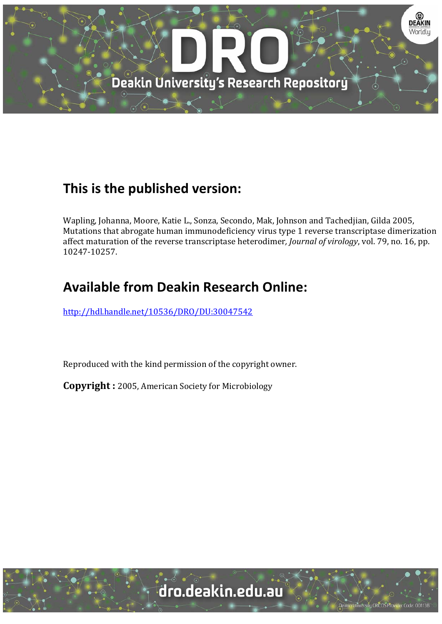

# **This is the published version:**

Wapling, Johanna, Moore, Katie L., Sonza, Secondo, Mak, Johnson and Tachedjian, Gilda 2005, Mutations that abrogate human immunodeficiency virus type 1 reverse transcriptase dimerization affect maturation of the reverse transcriptase heterodimer, *Journal of virology*, vol. 79, no. 16, pp. 10247‐10257. 

# **Available from Deakin Research Online:**

http://hdl.handle.net/10536/DRO/DU:30047542

Reproduced with the kind permission of the copyright owner.

**Copyright** : 2005, American Society for Microbiology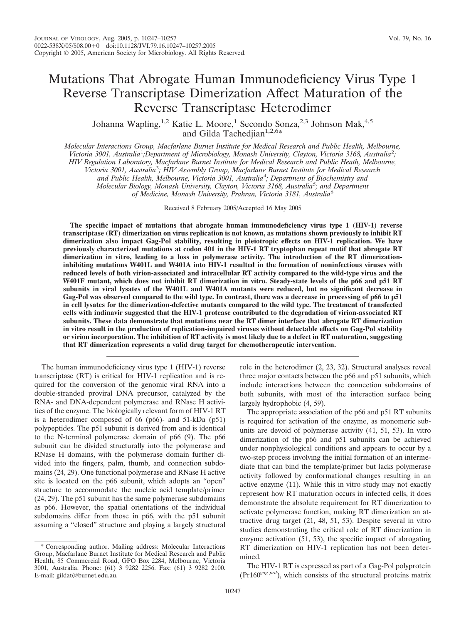### Mutations That Abrogate Human Immunodeficiency Virus Type 1 Reverse Transcriptase Dimerization Affect Maturation of the Reverse Transcriptase Heterodimer

Johanna Wapling,<sup>1,2</sup> Katie L. Moore,<sup>1</sup> Secondo Sonza,<sup>2,3</sup> Johnson Mak,<sup>4,5</sup> and Gilda Tachedjian<sup>1,2,6\*</sup>

*Molecular Interactions Group, Macfarlane Burnet Institute for Medical Research and Public Health, Melbourne, Victoria 3001, Australia*<sup>1</sup> *;Department of Microbiology, Monash University, Clayton, Victoria 3168, Australia*<sup>2</sup> *; HIV Regulation Laboratory, Macfarlane Burnet Institute for Medical Research and Public Heath, Melbourne, Victoria 3001, Australia*<sup>3</sup> *; HIV Assembly Group, Macfarlane Burnet Institute for Medical Research and Public Health, Melbourne, Victoria 3001, Australia*<sup>4</sup> *; Department of Biochemistry and Molecular Biology, Monash University, Clayton, Victoria 3168, Australia*<sup>5</sup> *; and Department of Medicine, Monash University, Prahran, Victoria 3181, Australia*<sup>6</sup>

Received 8 February 2005/Accepted 16 May 2005

**The specific impact of mutations that abrogate human immunodeficiency virus type 1 (HIV-1) reverse transcriptase (RT) dimerization on virus replication is not known, as mutations shown previously to inhibit RT dimerization also impact Gag-Pol stability, resulting in pleiotropic effects on HIV-1 replication. We have previously characterized mutations at codon 401 in the HIV-1 RT tryptophan repeat motif that abrogate RT dimerization in vitro, leading to a loss in polymerase activity. The introduction of the RT dimerizationinhibiting mutations W401L and W401A into HIV-1 resulted in the formation of noninfectious viruses with reduced levels of both virion-associated and intracellular RT activity compared to the wild-type virus and the W401F mutant, which does not inhibit RT dimerization in vitro. Steady-state levels of the p66 and p51 RT subunits in viral lysates of the W401L and W401A mutants were reduced, but no significant decrease in Gag-Pol was observed compared to the wild type. In contrast, there was a decrease in processing of p66 to p51 in cell lysates for the dimerization-defective mutants compared to the wild type. The treatment of transfected cells with indinavir suggested that the HIV-1 protease contributed to the degradation of virion-associated RT subunits. These data demonstrate that mutations near the RT dimer interface that abrogate RT dimerization in vitro result in the production of replication-impaired viruses without detectable effects on Gag-Pol stability or virion incorporation. The inhibition of RT activity is most likely due to a defect in RT maturation, suggesting that RT dimerization represents a valid drug target for chemotherapeutic intervention.**

The human immunodeficiency virus type 1 (HIV-1) reverse transcriptase (RT) is critical for HIV-1 replication and is required for the conversion of the genomic viral RNA into a double-stranded proviral DNA precursor, catalyzed by the RNA- and DNA-dependent polymerase and RNase H activities of the enzyme. The biologically relevant form of HIV-1 RT is a heterodimer composed of 66 (p66)- and 51-kDa (p51) polypeptides. The p51 subunit is derived from and is identical to the N-terminal polymerase domain of p66 (9). The p66 subunit can be divided structurally into the polymerase and RNase H domains, with the polymerase domain further divided into the fingers, palm, thumb, and connection subdomains (24, 29). One functional polymerase and RNase H active site is located on the p66 subunit, which adopts an "open" structure to accommodate the nucleic acid template/primer (24, 29). The p51 subunit has the same polymerase subdomains as p66. However, the spatial orientations of the individual subdomains differ from those in p66, with the p51 subunit assuming a "closed" structure and playing a largely structural

\* Corresponding author. Mailing address: Molecular Interactions Group, Macfarlane Burnet Institute for Medical Research and Public Health, 85 Commercial Road, GPO Box 2284, Melbourne, Victoria 3001, Australia. Phone: (61) 3 9282 2256. Fax: (61) 3 9282 2100. E-mail: gildat@burnet.edu.au.

role in the heterodimer (2, 23, 32). Structural analyses reveal three major contacts between the p66 and p51 subunits, which include interactions between the connection subdomains of both subunits, with most of the interaction surface being largely hydrophobic (4, 59).

The appropriate association of the p66 and p51 RT subunits is required for activation of the enzyme, as monomeric subunits are devoid of polymerase activity (41, 51, 53). In vitro dimerization of the p66 and p51 subunits can be achieved under nonphysiological conditions and appears to occur by a two-step process involving the initial formation of an intermediate that can bind the template/primer but lacks polymerase activity followed by conformational changes resulting in an active enzyme (11). While this in vitro study may not exactly represent how RT maturation occurs in infected cells, it does demonstrate the absolute requirement for RT dimerization to activate polymerase function, making RT dimerization an attractive drug target (21, 48, 51, 53). Despite several in vitro studies demonstrating the critical role of RT dimerization in enzyme activation (51, 53), the specific impact of abrogating RT dimerization on HIV-1 replication has not been determined.

The HIV-1 RT is expressed as part of a Gag-Pol polyprotein (Pr160*gag-pol*), which consists of the structural proteins matrix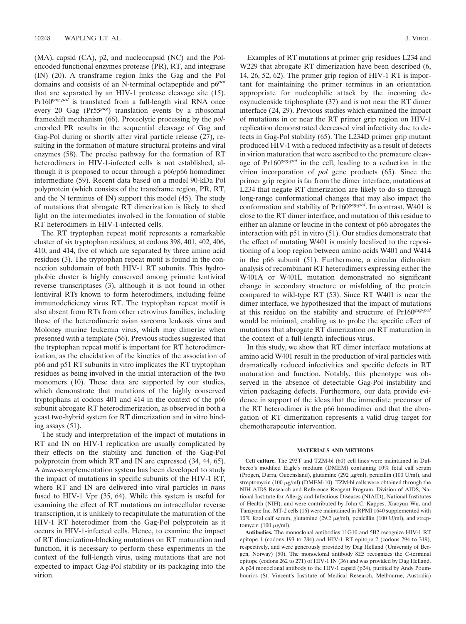(MA), capsid (CA), p2, and nucleocapsid (NC) and the Polencoded functional enzymes protease (PR), RT, and integrase (IN) (20). A transframe region links the Gag and the Pol domains and consists of an N-terminal octapeptide and p6*pol* that are separated by an HIV-1 protease cleavage site (15). Pr160*gag-pol* is translated from a full-length viral RNA once every 20 Gag (Pr55*gag*) translation events by a ribosomal frameshift mechanism (66). Proteolytic processing by the *pol*encoded PR results in the sequential cleavage of Gag and Gag-Pol during or shortly after viral particle release (27), resulting in the formation of mature structural proteins and viral enzymes (58). The precise pathway for the formation of RT heterodimers in HIV-1-infected cells is not established, although it is proposed to occur through a p66/p66 homodimer intermediate (59). Recent data based on a model 90-kDa Pol polyprotein (which consists of the transframe region, PR, RT, and the N terminus of IN) support this model (45). The study of mutations that abrogate RT dimerization is likely to shed light on the intermediates involved in the formation of stable RT heterodimers in HIV-1-infected cells.

The RT tryptophan repeat motif represents a remarkable cluster of six tryptophan residues, at codons 398, 401, 402, 406, 410, and 414, five of which are separated by three amino acid residues (3). The tryptophan repeat motif is found in the connection subdomain of both HIV-1 RT subunits. This hydrophobic cluster is highly conserved among primate lentiviral reverse transcriptases (3), although it is not found in other lentiviral RTs known to form heterodimers, including feline immunodeficiency virus RT. The tryptophan repeat motif is also absent from RTs from other retrovirus families, including those of the heterodimeric avian sarcoma leukosis virus and Moloney murine leukemia virus, which may dimerize when presented with a template (56). Previous studies suggested that the tryptophan repeat motif is important for RT heterodimerization, as the elucidation of the kinetics of the association of p66 and p51 RT subunits in vitro implicates the RT tryptophan residues as being involved in the initial interaction of the two monomers (10). These data are supported by our studies, which demonstrate that mutations of the highly conserved tryptophans at codons 401 and 414 in the context of the p66 subunit abrogate RT heterodimerization, as observed in both a yeast two-hybrid system for RT dimerization and in vitro binding assays (51).

The study and interpretation of the impact of mutations in RT and IN on HIV-1 replication are usually complicated by their effects on the stability and function of the Gag-Pol polyprotein from which RT and IN are expressed (34, 44, 65). A *trans*-complementation system has been developed to study the impact of mutations in specific subunits of the HIV-1 RT, where RT and IN are delivered into viral particles in *trans* fused to HIV-1 Vpr (35, 64). While this system is useful for examining the effect of RT mutations on intracellular reverse transcription, it is unlikely to recapitulate the maturation of the HIV-1 RT heterodimer from the Gag-Pol polyprotein as it occurs in HIV-1-infected cells. Hence, to examine the impact of RT dimerization-blocking mutations on RT maturation and function, it is necessary to perform these experiments in the context of the full-length virus, using mutations that are not expected to impact Gag-Pol stability or its packaging into the virion.

Examples of RT mutations at primer grip residues L234 and W229 that abrogate RT dimerization have been described (6, 14, 26, 52, 62). The primer grip region of HIV-1 RT is important for maintaining the primer terminus in an orientation appropriate for nucleophilic attack by the incoming deoxynucleoside triphosphate (37) and is not near the RT dimer interface (24, 29). Previous studies which examined the impact of mutations in or near the RT primer grip region on HIV-1 replication demonstrated decreased viral infectivity due to defects in Gag-Pol stability (65). The L234D primer grip mutant produced HIV-1 with a reduced infectivity as a result of defects in virion maturation that were ascribed to the premature cleavage of Pr160*gag-pol* in the cell, leading to a reduction in the virion incorporation of *pol* gene products (65). Since the primer grip region is far from the dimer interface, mutations at L234 that negate RT dimerization are likely to do so through long-range conformational changes that may also impact the conformation and stability of Pr160*gag-pol*. In contrast, W401 is close to the RT dimer interface, and mutation of this residue to either an alanine or leucine in the context of p66 abrogates the interaction with p51 in vitro (51). Our studies demonstrate that the effect of mutating W401 is mainly localized to the repositioning of a loop region between amino acids W401 and W414 in the p66 subunit (51). Furthermore, a circular dichroism analysis of recombinant RT heterodimers expressing either the W401A or W401L mutation demonstrated no significant change in secondary structure or misfolding of the protein compared to wild-type RT (53). Since RT W401 is near the dimer interface, we hypothesized that the impact of mutations at this residue on the stability and structure of Pr160*gag-pol* would be minimal, enabling us to probe the specific effect of mutations that abrogate RT dimerization on RT maturation in the context of a full-length infectious virus.

In this study, we show that RT dimer interface mutations at amino acid W401 result in the production of viral particles with dramatically reduced infectivities and specific defects in RT maturation and function. Notably, this phenotype was observed in the absence of detectable Gag-Pol instability and virion packaging defects. Furthermore, our data provide evidence in support of the ideas that the immediate precursor of the RT heterodimer is the p66 homodimer and that the abrogation of RT dimerization represents a valid drug target for chemotherapeutic intervention.

#### **MATERIALS AND METHODS**

**Cell culture.** The 293T and TZM-bl (60) cell lines were maintained in Dulbecco's modified Eagle's medium (DMEM) containing 10% fetal calf serum (Progen, Darra, Queensland), glutamine (292  $\mu$ g/ml), penicillin (100 U/ml), and streptomycin  $(100 \mu\text{g/ml})$  (DMEM-10). TZM-bl cells were obtained through the NIH AIDS Research and Reference Reagent Program, Division of AIDS, National Institute for Allergy and Infectious Diseases (NIAID), National Institutes of Health (NIH), and were contributed by John C. Kappes, Xiaoyun Wu, and Tanzyme Inc. MT-2 cells (16) were maintained in RPMI 1640 supplemented with 10% fetal calf serum, glutamine (29.2  $\mu$ g/ml), penicillin (100 U/ml), and streptomycin (100 µg/ml).

**Antibodies.** The monoclonal antibodies 11G10 and 5B2 recognize HIV-1 RT epitope 1 (codons 193 to 284) and HIV-1 RT epitope 2 (codons 294 to 319), respectively, and were generously provided by Dag Helland (University of Bergen, Norway) (50). The monoclonal antibody 8E5 recognizes the C-terminal epitope (codons 262 to 271) of HIV-1 IN (36) and was provided by Dag Helland. A p24 monoclonal antibody to the HIV-1 capsid (p24), purified by Andy Poumbourios (St. Vincent's Institute of Medical Research, Melbourne, Australia)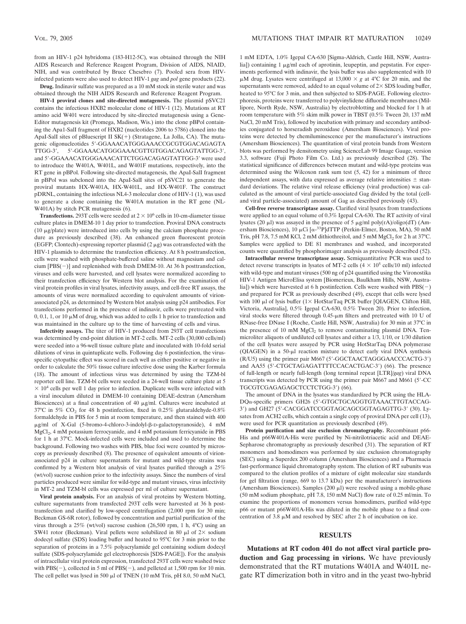from an HIV-1 p24 hybridoma (183-H12-5C), was obtained through the NIH AIDS Research and Reference Reagent Program, Division of AIDS, NIAID, NIH, and was contributed by Bruce Chesebro (7). Pooled sera from HIVinfected patients were also used to detect HIV-1 *gag* and *pol* gene products (22).

**Drug.** Indinavir sulfate was prepared as a 10 mM stock in sterile water and was obtained through the NIH AIDS Research and Reference Reagent Program.

**HIV-1 proviral clones and site-directed mutagenesis.** The plasmid pSVC21 contains the infectious HXB2 molecular clone of HIV-1 (12). Mutations at RT amino acid W401 were introduced by site-directed mutagenesis using a Gene-Editor mutagenesis kit (Promega, Madison, Wis.) into the clone pBPol containing the Apa1-SalI fragment of HXB2 (nucleotides 2006 to 5786) cloned into the ApaI-SalI sites of pBluescript II  $SK(+)$  (Stratagene, La Jolla, CA). The mutagenic oligonucleotides 5'-GGAAACATGGGAAACCGCGTGGACAGAGTA TTGG-3', 5'-GGAAACATGGGAAACGTTGTGGACAGAGTATTGG-3', and 5'-GGAAACATGGGAAACATTCTGGACAGAGTATTGG-3' were used to introduce the W401A, W401L, and W401F mutations, respectively, into the RT gene in pBPol. Following site-directed mutagenesis, the ApaI-SalI fragment in pBPol was subcloned into the ApaI-SalI sites of pSVC21 to generate the proviral mutants HX-W401A, HX-W401L, and HX-W401F. The construct pDRNL, containing the infectious NL4-3 molecular clone of HIV-1 (1), was used to generate a clone containing the W401A mutation in the RT gene (NL-W401A) by stitch PCR mutagenesis (6).

**Transfections.** 293T cells were seeded at  $2 \times 10^6$  cells in 10-cm-diameter tissue culture plates in DMEM-10 1 day prior to transfection. Proviral DNA constructs  $(10 \mu g$ /plate) were introduced into cells by using the calcium phosphate procedure as previously described (38). An enhanced green fluorescent protein (EGFP; Clontech)-expressing reporter plasmid  $(2 \mu g)$  was cotransfected with the HIV-1 plasmids to determine the transfection efficiency. At 8 h posttransfection, cells were washed with phosphate-buffered saline without magnesium and calcium  $[PBS(-)]$  and replenished with fresh DMEM-10. At 36 h posttransfection, viruses and cells were harvested, and cell lysates were normalized according to their transfection efficiency for Western blot analysis. For the examination of viral protein profiles in viral lysates, infectivity assays, and cell-free RT assays, the amounts of virus were normalized according to equivalent amounts of virionassociated p24, as determined by Western blot analysis using p24 antibodies. For transfections performed in the presence of indinavir, cells were pretreated with  $0, 0.1, 1$ , or 10  $\mu$ M of drug, which was added to cells 1 h prior to transfection and was maintained in the culture up to the time of harvesting of cells and virus.

**Infectivity assays.** The titer of HIV-1 produced from 293T cell transfections was determined by end-point dilution in MT-2 cells. MT-2 cells (30,000 cells/ml) were seeded into a 96-well tissue culture plate and inoculated with 10-fold serial dilutions of virus in quintuplicate wells. Following day 6 postinfection, the virusspecific cytopathic effect was scored in each well as either positive or negative in order to calculate the 50% tissue culture infective dose using the Karber formula (18). The amount of infectious virus was determined by using the TZM-bl reporter cell line. TZM-bl cells were seeded in a 24-well tissue culture plate at 5  $\times$  10<sup>4</sup> cells per well 1 day prior to infection. Duplicate wells were infected with a viral inoculum diluted in DMEM-10 containing DEAE-dextran (Amersham Biosciences) at a final concentration of 40  $\mu$ g/ml. Cultures were incubated at 37°C in 5% CO<sub>2</sub> for 48 h postinfection, fixed in 0.25% glutaraldehyde-0.8% formaldehyde in PBS for 5 min at room temperature, and then stained with 400 μg/ml of X-Gal (5-bromo-4-chloro-3-indolyl-β-D-galactopyranoside), 4 mM MgCl<sub>2</sub>, 4 mM potassium ferrocyanide, and 4 mM potassium ferricyanide in PBS for 1 h at 37°C. Mock-infected cells were included and used to determine the background. Following two washes with PBS, blue foci were counted by microscopy as previously described (8). The presence of equivalent amounts of virionassociated p24 in culture supernatants for mutant and wild-type strains was confirmed by a Western blot analysis of viral lysates purified through a 25% (wt/vol) sucrose cushion prior to the infectivity assays. Since the numbers of viral particles produced were similar for wild-type and mutant viruses, virus infectivity in MT-2 and TZM-bl cells was expressed per ml of culture supernatant.

**Viral protein analysis.** For an analysis of viral proteins by Western blotting, culture supernatants from transfected 293T cells were harvested at 36 h posttransfection and clarified by low-speed centrifugation (2,000 rpm for 30 min; Beckman GS-6R rotor), followed by concentration and partial purification of the virus through a 25% (wt/vol) sucrose cushion (26,500 rpm, 1 h, 4°C) using an SW41 rotor (Beckman). Viral pellets were solubilized in 80  $\mu$ l of 2× sodium dodecyl sulfate (SDS) loading buffer and heated to 95°C for 3 min prior to the separation of proteins in a 7.5% polyacrylamide gel containing sodium dodecyl sulfate (SDS-polyacrylamide gel electrophoresis [SDS-PAGE]). For the analysis of intracellular viral protein expression, transfected 293T cells were washed twice with  $PBS(-)$ , collected in 5 ml of  $PBS(-)$ , and pelleted at 1,500 rpm for 10 min. The cell pellet was lysed in 500  $\mu$ l of TNEN (10 mM Tris, pH 8.0, 50 mM NaCl,

1 mM EDTA, 1.0% Igepal CA-630 [Sigma-Aldrich, Castle Hill, NSW, Australia]) containing 1  $\mu$ g/ml each of aprotinin, leupeptin, and pepstatin. For experiments performed with indinavir, the lysis buffer was also supplemented with 10  $\mu$ M drug. Lysates were centrifuged at 13,000  $\times$  g at 4°C for 20 min, and the supernatants were removed, added to an equal volume of  $2\times$  SDS loading buffer, heated to 95°C for 3 min, and then subjected to SDS-PAGE. Following electrophoresis, proteins were transferred to polyvinylidene difluoride membranes (Millipore, North Ryde, NSW, Australia) by electroblotting and blocked for 1 h at room temperature with 5% skim milk power in TBST (0.5% Tween 20, 137 mM NaCl, 20 mM Tris), followed by incubation with primary and secondary antibodies conjugated to horseradish peroxidase (Amersham Biosciences). Viral proteins were detected by chemiluminescence per the manufacturer's instructions (Amersham Biosciences). The quantitation of viral protein bands from Western blots was performed by densitometry using ScienceLab 99 Image Gauge, version 3.3, software (Fuji Photo Film Co. Ltd.) as previously described (28). The statistical significance of differences between mutant and wild-type proteins was determined using the Wilcoxon rank sum test (5, 42) for a minimum of three independent assays, with data expressed as average relative intensities  $\pm$  standard deviations. The relative viral release efficiency (viral production) was calculated as the amount of viral particle-associated Gag divided by the total (celland viral particle-associated) amount of Gag as described previously (43).

**Cell-free reverse transcriptase assay.** Clarified viral lysates from transfections were applied to an equal volume of 0.3% Igepal CA-630. The RT activity of viral lysates (20  $\mu$ l) was assayed in the presence of 5  $\mu$ g/ml poly(rA)/oligo(dT) (Amersham Biosciences), 10 µCi [ $\alpha$ -<sup>33</sup>P]dTTP (Perkin-Elmer, Boston, MA), 50 mM Tris, pH 7.8, 7.5 mM KCl, 2 mM dithiothreitol, and 5 mM  $MgCl<sub>2</sub>$  for 2 h at 37°C. Samples were applied to DE 81 membranes and washed, and incorporated counts were quantified by phosphorimager analysis as previously described (52).

**Intracellular reverse transcriptase assay.** Semiquantitative PCR was used to detect reverse transcripts in lysates of MT-2 cells  $(4 \times 10^5 \text{ cells}/10 \text{ ml})$  infected with wild-type and mutant viruses (500 ng of p24 quantified using the Vironostika HIV-1 Antigen MicroElisa system [Biomerieux, Baulkham Hills, NSW, Australia]) which were harvested at 6 h postinfection. Cells were washed with  $PBS(-)$ and prepared for PCR as previously described (49), except that cells were lysed with 100  $\mu$ l of lysis buffer (1× HotStarTaq PCR buffer [QIAGEN, Clifton Hill, Victoria, Australia], 0.5% Igepal CA-630, 0.5% Tween 20). Prior to infection,  $viral$  stocks were filtered through 0.45- $\mu$ m filters and pretreated with 10 U of RNase-free DNase I (Roche, Castle Hill, NSW, Australia) for 30 min at 37°C in the presence of 10 mM  $MgCl<sub>2</sub>$  to remove contaminating plasmid DNA. Tenmicroliter aliquots of undiluted cell lysates and either a 1/3, 1/10, or 1/30 dilution of the cell lysates were assayed by PCR using HotStarTaq DNA polymerase (QIAGEN) in a 50-µl reaction mixture to detect early viral DNA synthesis (R/U5) using the primer pair M667 (5-GGCTAACTAGGGAACCCACTG-3) and AA55 (5-CTGCTAGAGATTTTCCACACTGAC-3) (66). The presence of full-length or nearly full-length (long terminal repeat [LTR]/*gag*) viral DNA transcripts was detected by PCR using the primer pair M667 and M661 (5-CC TGCGTCGAGAGAGCTCCTCTGG-3) (66).

The amount of DNA in the lysates was standardized by PCR using the HLA-DQα-specific primers GH26 (5'-GTGCTGCAGGTGTAAACTTGTACCAG-3') and GH27 (5'-CACGGATCCGGTAGCAGCGGTAGAGTTG-3' (30). Lysates from ACH2 cells, which contain a single copy of proviral DNA per cell (13), were used for PCR quantitation as previously described (49).

**Protein purification and size exclusion chromatography.** Recombinant p66- His and p66W401A-His were purified by Ni-nitrilotriacetic acid and DEAE-Sepharose chromatography as previously described (31). The separation of RT monomers and homodimers was performed by size exclusion chromatography (SEC) using a Superdex 200 column (Amersham Biosciences) and a Pharmacia fast-performance liquid chromatography system. The elution of RT subunits was compared to the elution profiles of a mixture of eight molecular size standards for gel filtration (range, 669 to 13.7 kDa) per the manufacturer's instructions  $(Amersham Biosciences)$ . Samples  $(200 \mu I)$  were resolved using a mobile-phase (50 mM sodium phosphate, pH 7.8, 150 mM NaCl) flow rate of 0.25 ml/min. To examine the proportions of monomers versus homodimers, purified wild-type p66 or mutant p66W401A-His was diluted in the mobile phase to a final concentration of 3.8  $\mu$ M and resolved by SEC after 2 h of incubation on ice.

#### **RESULTS**

**Mutations at RT codon 401 do not affect viral particle production and Gag processing in virions.** We have previously demonstrated that the RT mutations W401A and W401L negate RT dimerization both in vitro and in the yeast two-hybrid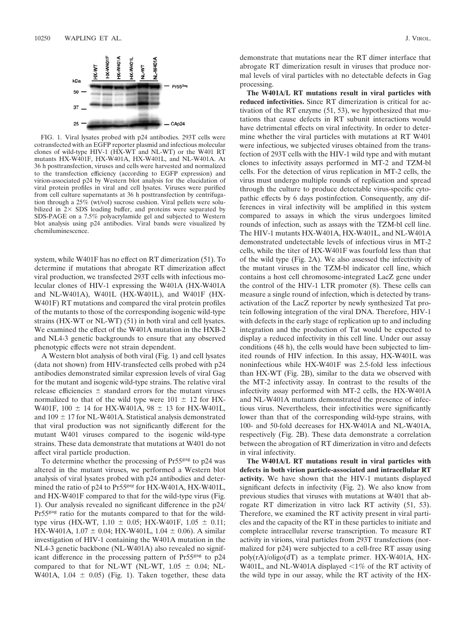

FIG. 1. Viral lysates probed with p24 antibodies. 293T cells were cotransfected with an EGFP reporter plasmid and infectious molecular clones of wild-type HIV-1 (HX-WT and NL-WT) or the W401 RT mutants HX-W401F, HX-W401A, HX-W401L, and NL-W401A. At 36 h posttransfection, viruses and cells were harvested and normalized to the transfection efficiency (according to EGFP expression) and virion-associated p24 by Western blot analysis for the elucidation of viral protein profiles in viral and cell lysates. Viruses were purified from cell culture supernatants at 36 h posttransfection by centrifugation through a 25% (wt/vol) sucrose cushion. Viral pellets were solubilized in  $2 \times$  SDS loading buffer, and proteins were separated by SDS-PAGE on a 7.5% polyacrylamide gel and subjected to Western blot analysis using p24 antibodies. Viral bands were visualized by chemiluminescence.

system, while W401F has no effect on RT dimerization (51). To determine if mutations that abrogate RT dimerization affect viral production, we transfected 293T cells with infectious molecular clones of HIV-1 expressing the W401A (HX-W401A and NL-W401A), W401L (HX-W401L), and W401F (HX-W401F) RT mutations and compared the viral protein profiles of the mutants to those of the corresponding isogenic wild-type strains (HX-WT or NL-WT) (51) in both viral and cell lysates. We examined the effect of the W401A mutation in the HXB-2 and NL4-3 genetic backgrounds to ensure that any observed phenotypic effects were not strain dependent.

A Western blot analysis of both viral (Fig. 1) and cell lysates (data not shown) from HIV-transfected cells probed with p24 antibodies demonstrated similar expression levels of viral Gag for the mutant and isogenic wild-type strains. The relative viral release efficiencies  $\pm$  standard errors for the mutant viruses normalized to that of the wild type were  $101 \pm 12$  for HX-W401F,  $100 \pm 14$  for HX-W401A,  $98 \pm 13$  for HX-W401L, and  $109 \pm 17$  for NL-W401A. Statistical analysis demonstrated that viral production was not significantly different for the mutant W401 viruses compared to the isogenic wild-type strains. These data demonstrate that mutations at W401 do not affect viral particle production.

To determine whether the processing of Pr55<sup>gag</sup> to p24 was altered in the mutant viruses, we performed a Western blot analysis of viral lysates probed with p24 antibodies and determined the ratio of p24 to Pr55*gag* for HX-W401A, HX-W401L, and HX-W401F compared to that for the wild-type virus (Fig. 1). Our analysis revealed no significant difference in the p24/ Pr55gag ratio for the mutants compared to that for the wildtype virus (HX-WT,  $1.10 \pm 0.05$ ; HX-W401F,  $1.05 \pm 0.11$ ; HX-W401A,  $1.07 \pm 0.04$ ; HX-W401L,  $1.04 \pm 0.06$ ). A similar investigation of HIV-1 containing the W401A mutation in the NL4-3 genetic backbone (NL-W401A) also revealed no significant difference in the processing pattern of Pr55<sup>gag</sup> to p24 compared to that for NL-WT (NL-WT,  $1.05 \pm 0.04$ ; NL-W401A,  $1.04 \pm 0.05$ ) (Fig. 1). Taken together, these data

demonstrate that mutations near the RT dimer interface that abrogate RT dimerization result in viruses that produce normal levels of viral particles with no detectable defects in Gag processing.

**The W401A/L RT mutations result in viral particles with reduced infectivities.** Since RT dimerization is critical for activation of the RT enzyme (51, 53), we hypothesized that mutations that cause defects in RT subunit interactions would have detrimental effects on viral infectivity. In order to determine whether the viral particles with mutations at RT W401 were infectious, we subjected viruses obtained from the transfection of 293T cells with the HIV-1 wild type and with mutant clones to infectivity assays performed in MT-2 and TZM-bl cells. For the detection of virus replication in MT-2 cells, the virus must undergo multiple rounds of replication and spread through the culture to produce detectable virus-specific cytopathic effects by 6 days postinfection. Consequently, any differences in viral infectivity will be amplified in this system compared to assays in which the virus undergoes limited rounds of infection, such as assays with the TZM-bl cell line. The HIV-1 mutants HX-W401A, HX-W401L, and NL-W401A demonstrated undetectable levels of infectious virus in MT-2 cells, while the titer of HX-W401F was fourfold less than that of the wild type (Fig. 2A). We also assessed the infectivity of the mutant viruses in the TZM-bl indicator cell line, which contains a host cell chromosome-integrated LacZ gene under the control of the HIV-1 LTR promoter (8). These cells can measure a single round of infection, which is detected by transactivation of the LacZ reporter by newly synthesized Tat protein following integration of the viral DNA. Therefore, HIV-1 with defects in the early stage of replication up to and including integration and the production of Tat would be expected to display a reduced infectivity in this cell line. Under our assay conditions (48 h), the cells would have been subjected to limited rounds of HIV infection. In this assay, HX-W401L was noninfectious while HX-W401F was 2.5-fold less infectious than HX-WT (Fig. 2B), similar to the data we observed with the MT-2 infectivity assay. In contrast to the results of the infectivity assay performed with MT-2 cells, the HX-W401A and NL-W401A mutants demonstrated the presence of infectious virus. Nevertheless, their infectivities were significantly lower than that of the corresponding wild-type strains, with 100- and 50-fold decreases for HX-W401A and NL-W401A, respectively (Fig. 2B). These data demonstrate a correlation between the abrogation of RT dimerization in vitro and defects in viral infectivity.

**The W401A/L RT mutations result in viral particles with defects in both virion particle-associated and intracellular RT activity.** We have shown that the HIV-1 mutants displayed significant defects in infectivity (Fig. 2). We also know from previous studies that viruses with mutations at W401 that abrogate RT dimerization in vitro lack RT activity (51, 53). Therefore, we examined the RT activity present in viral particles and the capacity of the RT in these particles to initiate and complete intracellular reverse transcription. To measure RT activity in virions, viral particles from 293T transfections (normalized for p24) were subjected to a cell-free RT assay using poly(rA)/oligo(dT) as a template primer. HX-W401A, HX-W401L, and NL-W401A displayed  $\leq 1\%$  of the RT activity of the wild type in our assay, while the RT activity of the HX-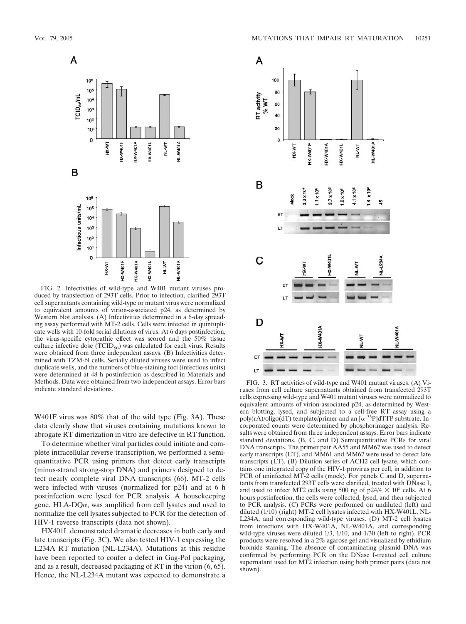

FIG. 2. Infectivities of wild-type and W401 mutant viruses produced by transfection of 293T cells. Prior to infection, clarified 293T cell supernatants containing wild-type or mutant virus were normalized to equivalent amounts of virion-associated p24, as determined by Western blot analysis. (A) Infectivities determined in a 6-day spreading assay performed with MT-2 cells. Cells were infected in quintuplicate wells with 10-fold serial dilutions of virus. At 6 days postinfection, the virus-specific cytopathic effect was scored and the 50% tissue culture infective dose  $(TCID_{50})$  was calculated for each virus. Results were obtained from three independent assays. (B) Infectivities determined with TZM-bl cells. Serially diluted viruses were used to infect duplicate wells, and the numbers of blue-staining foci (infectious units) were determined at 48 h postinfection as described in Materials and Methods. Data were obtained from two independent assays. Error bars

W401F virus was 80% that of the wild type (Fig. 3A). These data clearly show that viruses containing mutations known to abrogate RT dimerization in vitro are defective in RT function.

To determine whether viral particles could initiate and complete intracellular reverse transcription, we performed a semiquantitative PCR using primers that detect early transcripts (minus-strand strong-stop DNA) and primers designed to detect nearly complete viral DNA transcripts (66). MT-2 cells were infected with viruses (normalized for p24) and at 6 h postinfection were lysed for PCR analysis. A housekeeping gene,  $HLA-DQ\alpha$ , was amplified from cell lysates and used to normalize the cell lysates subjected to PCR for the detection of HIV-1 reverse transcripts (data not shown).

HX401L demonstrated dramatic decreases in both early and late transcripts (Fig. 3C). We also tested HIV-1 expressing the L234A RT mutation (NL-L234A). Mutations at this residue have been reported to confer a defect in Gag-Pol packaging, and as a result, decreased packaging of RT in the virion (6, 65). Hence, the NL-L234A mutant was expected to demonstrate a



Methods. Data were obtained from two independent assays. Error bars FIG. 3. RT activities of wild-type and W401 mutant viruses. (A) Vi-<br>indicate standard deviations. The ruses from cell culture supernatants obtained from t cells expressing wild-type and W401 mutant viruses were normalized to equivalent amounts of virion-associated p24, as determined by Western blotting, lysed, and subjected to a cell-free RT assay using a poly(rA)/oligo(dT) template/primer and an  $[\alpha^{-33}P]$ dTTP substrate. Incorporated counts were determined by phosphorimager analysis. Results were obtained from three independent assays. Error bars indicate standard deviations. (B, C, and D) Semiquantitative PCRs for viral DNA transcripts. The primer pair AA55 and MM67 was used to detect early transcripts (ET), and MM61 and MM67 were used to detect late transcripts (LT). (B) Dilution series of ACH2 cell lysate, which contains one integrated copy of the HIV-1 provirus per cell, in addition to PCR of uninfected MT-2 cells (mock). For panels C and D, supernatants from transfected 293T cells were clarified, treated with DNase I, and used to infect MT2 cells using 500 ng of  $p24/4 \times 10^5$  cells. At 6 hours postinfection, the cells were collected, lysed, and then subjected to PCR analysis. (C) PCRs were performed on undiluted (left) and diluted (1/10) (right) MT-2 cell lysates infected with HX-W401L, NL-L234A, and corresponding wild-type viruses. (D) MT-2 cell lysates from infections with HX-W401A, NL-W401A, and corresponding wild-type viruses were diluted 1/3, 1/10, and 1/30 (left to right). PCR products were resolved in a 2% agarose gel and visualized by ethidium bromide staining. The absence of contaminating plasmid DNA was confirmed by performing PCR on the DNase I-treated cell culture supernatant used for MT2 infection using both primer pairs (data not shown).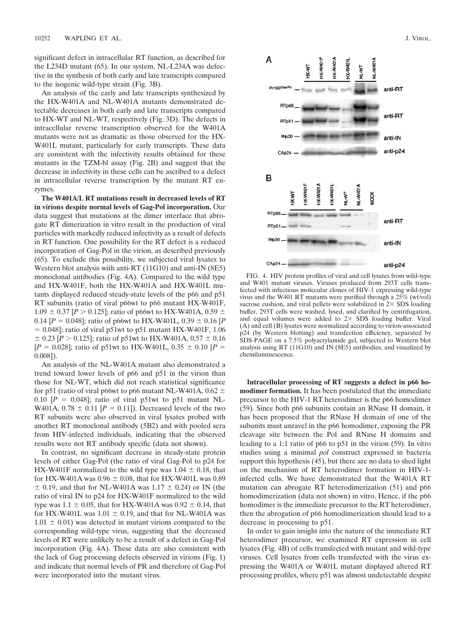significant defect in intracellular RT function, as described for the L234D mutant (65). In our system, NL-L234A was defective in the synthesis of both early and late transcripts compared to the isogenic wild-type strain (Fig. 3B).

An analysis of the early and late transcripts synthesized by the HX-W401A and NL-W401A mutants demonstrated detectable decreases in both early and late transcripts compared to HX-WT and NL-WT, respectively (Fig. 3D). The defects in intracellular reverse transcription observed for the W401A mutants were not as dramatic as those observed for the HX-W401L mutant, particularly for early transcripts. These data are consistent with the infectivity results obtained for these mutants in the TZM-bl assay (Fig. 2B) and suggest that the decrease in infectivity in these cells can be ascribed to a defect in intracellular reverse transcription by the mutant RT enzymes.

**The W401A/L RT mutations result in decreased levels of RT in virions despite normal levels of Gag-Pol incorporation.** Our data suggest that mutations at the dimer interface that abrogate RT dimerization in vitro result in the production of viral particles with markedly reduced infectivity as a result of defects in RT function. One possibility for the RT defect is a reduced incorporation of Gag-Pol in the virion, as described previously (65). To exclude this possibility, we subjected viral lysates to Western blot analysis with anti-RT (11G10) and anti-IN (8E5) monoclonal antibodies (Fig. 4A). Compared to the wild type and HX-W401F, both the HX-W401A and HX-W401L mutants displayed reduced steady-state levels of the p66 and p51 RT subunits (ratio of viral p66wt to p66 mutant HX-W401F,  $1.09 \pm 0.37$  [*P*  $> 0.125$ ]; ratio of p66wt to HX-W401A, 0.59  $\pm$ 0.14  $[P = 0.048]$ ; ratio of p66wt to HX-W401L, 0.39  $\pm$  0.16  $[P]$  $= 0.048$ ; ratio of viral p51wt to p51 mutant HX-W401F, 1.06  $\pm$  0.23 [*P* > 0.125]; ratio of p51wt to HX-W401A, 0.57  $\pm$  0.16  $[P = 0.028]$ ; ratio of p51wt to HX-W401L, 0.35  $\pm$  0.10  $[P =$ 0.008]).

An analysis of the NL-W401A mutant also demonstrated a trend toward lower levels of p66 and p51 in the virion than those for NL-WT, which did not reach statistical significance for p51 (ratio of viral p66wt to p66 mutant NL-W401A, 0.62  $\pm$ 0.10  $[P = 0.048]$ ; ratio of viral p51wt to p51 mutant NL-W401A,  $0.78 \pm 0.11$  [ $P = 0.11$ ]). Decreased levels of the two RT subunits were also observed in viral lysates probed with another RT monoclonal antibody (5B2) and with pooled sera from HIV-infected individuals, indicating that the observed results were not RT antibody specific (data not shown).

In contrast, no significant decrease in steady-state protein levels of either Gag-Pol (the ratio of viral Gag-Pol to p24 for HX-W401F normalized to the wild type was  $1.04 \pm 0.18$ , that for HX-W401A was  $0.96 \pm 0.08$ , that for HX-W401L was 0.89  $\pm$  0.19, and that for NL-W401A was 1.17  $\pm$  0.24) or IN (the ratio of viral IN to p24 for HX-W401F normalized to the wild type was  $1.1 \pm 0.05$ , that for HX-W401A was  $0.92 \pm 0.14$ , that for HX-W401L was  $1.01 \pm 0.19$ , and that for NL-W401A was  $1.01 \pm 0.01$ ) was detected in mutant virions compared to the corresponding wild-type virus, suggesting that the decreased levels of RT were unlikely to be a result of a defect in Gag-Pol incorporation (Fig. 4A). These data are also consistent with the lack of Gag processing defects observed in virions (Fig. 1) and indicate that normal levels of PR and therefore of Gag-Pol were incorporated into the mutant virus.



FIG. 4. HIV protein profiles of viral and cell lysates from wild-type and W401 mutant viruses. Viruses produced from 293T cells transfected with infectious molecular clones of HIV-1 expressing wild-type virus and the W401 RT mutants were purified through a 25% (wt/vol) sucrose cushion, and viral pellets were solubilized in  $2 \times$  SDS loading buffer. 293T cells were washed, lysed, and clarified by centrifugation, and equal volumes were added to  $2 \times$  SDS loading buffer. Viral (A) and cell (B) lysates were normalized according to virion-associated p24 (by Western blotting) and transfection efficiency, separated by SDS-PAGE on a 7.5% polyacrylamide gel, subjected to Western blot analysis using RT (11G10) and IN (8E5) antibodies, and visualized by chemiluminescence.

**Intracellular processing of RT suggests a defect in p66 homodimer formation.** It has been postulated that the immediate precursor to the HIV-1 RT heterodimer is the p66 homodimer (59). Since both p66 subunits contain an RNase H domain, it has been proposed that the RNase H domain of one of the subunits must unravel in the p66 homodimer, exposing the PR cleavage site between the Pol and RNase H domains and leading to a 1:1 ratio of p66 to p51 in the virion (59). In vitro studies using a minimal *pol* construct expressed in bacteria support this hypothesis (45), but there are no data to shed light on the mechanism of RT heterodimer formation in HIV-1 infected cells. We have demonstrated that the W401A RT mutation can abrogate RT heterodimerization (51) and p66 homodimerization (data not shown) in vitro. Hence, if the p66 homodimer is the immediate precursor to the RT heterodimer, then the abrogation of p66 homodimerization should lead to a decrease in processing to p51.

In order to gain insight into the nature of the immediate RT heterodimer precursor, we examined RT expression in cell lysates (Fig. 4B) of cells transfected with mutant and wild-type viruses. Cell lysates from cells transfected with the virus expressing the W401A or W401L mutant displayed altered RT processing profiles, where p51 was almost undetectable despite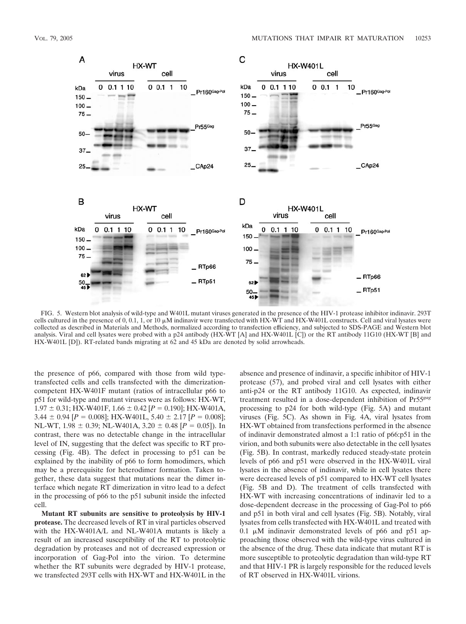

FIG. 5. Western blot analysis of wild-type and W401L mutant viruses generated in the presence of the HIV-1 protease inhibitor indinavir. 293T cells cultured in the presence of 0, 0.1, 1, or 10  $\mu$ M indinavir were transfected with HX-WT and HX-W401L constructs. Cell and viral lysates were collected as described in Materials and Methods, normalized according to transfection efficiency, and subjected to SDS-PAGE and Western blot analysis. Viral and cell lysates were probed with a p24 antibody (HX-WT [A] and HX-W401L [C]) or the RT antibody 11G10 (HX-WT [B] and HX-W401L [D]). RT-related bands migrating at 62 and 45 kDa are denoted by solid arrowheads.

the presence of p66, compared with those from wild typetransfected cells and cells transfected with the dimerizationcompetent HX-W401F mutant (ratios of intracellular p66 to p51 for wild-type and mutant viruses were as follows: HX-WT,  $1.97 \pm 0.31$ ; HX-W401F,  $1.66 \pm 0.42$  [ $P = 0.190$ ]; HX-W401A, 3.44  $\pm$  0.94 [*P* = 0.008]; HX-W401L, 5.40  $\pm$  2.17 [*P* = 0.008]; NL-WT,  $1.98 \pm 0.39$ ; NL-W401A,  $3.20 \pm 0.48$  [ $P = 0.05$ ]). In contrast, there was no detectable change in the intracellular level of IN, suggesting that the defect was specific to RT processing (Fig. 4B). The defect in processing to p51 can be explained by the inability of p66 to form homodimers, which may be a prerequisite for heterodimer formation. Taken together, these data suggest that mutations near the dimer interface which negate RT dimerization in vitro lead to a defect in the processing of p66 to the p51 subunit inside the infected cell.

**Mutant RT subunits are sensitive to proteolysis by HIV-1 protease.** The decreased levels of RT in viral particles observed with the HX-W401A/L and NL-W401A mutants is likely a result of an increased susceptibility of the RT to proteolytic degradation by proteases and not of decreased expression or incorporation of Gag-Pol into the virion. To determine whether the RT subunits were degraded by HIV-1 protease, we transfected 293T cells with HX-WT and HX-W401L in the

absence and presence of indinavir, a specific inhibitor of HIV-1 protease (57), and probed viral and cell lysates with either anti-p24 or the RT antibody 11G10. As expected, indinavir treatment resulted in a dose-dependent inhibition of Pr55*gag* processing to p24 for both wild-type (Fig. 5A) and mutant viruses (Fig. 5C). As shown in Fig. 4A, viral lysates from HX-WT obtained from transfections performed in the absence of indinavir demonstrated almost a 1:1 ratio of p66:p51 in the virion, and both subunits were also detectable in the cell lysates (Fig. 5B). In contrast, markedly reduced steady-state protein levels of p66 and p51 were observed in the HX-W401L viral lysates in the absence of indinavir, while in cell lysates there were decreased levels of p51 compared to HX-WT cell lysates (Fig. 5B and D). The treatment of cells transfected with HX-WT with increasing concentrations of indinavir led to a dose-dependent decrease in the processing of Gag-Pol to p66 and p51 in both viral and cell lysates (Fig. 5B). Notably, viral lysates from cells transfected with HX-W401L and treated with  $0.1 \mu M$  indinavir demonstrated levels of p66 and p51 approaching those observed with the wild-type virus cultured in the absence of the drug. These data indicate that mutant RT is more susceptible to proteolytic degradation than wild-type RT and that HIV-1 PR is largely responsible for the reduced levels of RT observed in HX-W401L virions.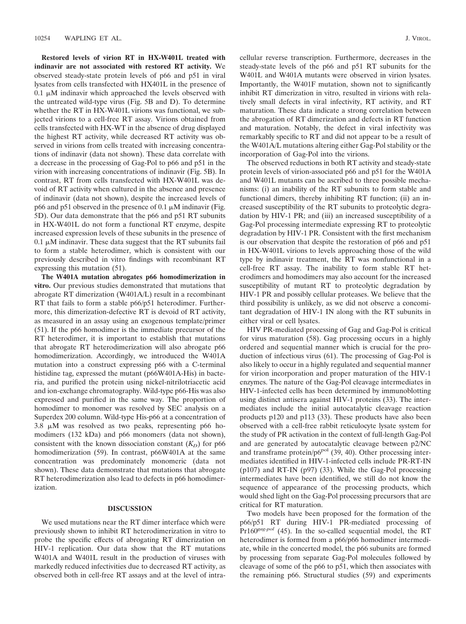**Restored levels of virion RT in HX-W401L treated with indinavir are not associated with restored RT activity.** We observed steady-state protein levels of p66 and p51 in viral lysates from cells transfected with HX401L in the presence of  $0.1 \mu$ M indinavir which approached the levels observed with the untreated wild-type virus (Fig. 5B and D). To determine whether the RT in HX-W401L virions was functional, we subjected virions to a cell-free RT assay. Virions obtained from cells transfected with HX-WT in the absence of drug displayed the highest RT activity, while decreased RT activity was observed in virions from cells treated with increasing concentrations of indinavir (data not shown). These data correlate with a decrease in the processing of Gag-Pol to p66 and p51 in the virion with increasing concentrations of indinavir (Fig. 5B). In contrast, RT from cells transfected with HX-W401L was devoid of RT activity when cultured in the absence and presence of indinavir (data not shown), despite the increased levels of p66 and p51 observed in the presence of  $0.1 \mu$ M indinavir (Fig. 5D). Our data demonstrate that the p66 and p51 RT subunits in HX-W401L do not form a functional RT enzyme, despite increased expression levels of these subunits in the presence of  $0.1 \mu$ M indinavir. These data suggest that the RT subunits fail to form a stable heterodimer, which is consistent with our previously described in vitro findings with recombinant RT expressing this mutation (51).

**The W401A mutation abrogates p66 homodimerization in vitro.** Our previous studies demonstrated that mutations that abrogate RT dimerization (W401A/L) result in a recombinant RT that fails to form a stable p66/p51 heterodimer. Furthermore, this dimerization-defective RT is devoid of RT activity, as measured in an assay using an exogenous template/primer (51). If the p66 homodimer is the immediate precursor of the RT heterodimer, it is important to establish that mutations that abrogate RT heterodimerization will also abrogate p66 homodimerization. Accordingly, we introduced the W401A mutation into a construct expressing p66 with a C-terminal histidine tag, expressed the mutant (p66W401A-His) in bacteria, and purified the protein using nickel-nitrilotriacetic acid and ion-exchange chromatography. Wild-type p66-His was also expressed and purified in the same way. The proportion of homodimer to monomer was resolved by SEC analysis on a Superdex 200 column. Wild-type His-p66 at a concentration of  $3.8 \mu M$  was resolved as two peaks, representing p66 homodimers (132 kDa) and p66 monomers (data not shown), consistent with the known dissociation constant  $(K_D)$  for p66 homodimerization (59). In contrast, p66W401A at the same concentration was predominately monomeric (data not shown). These data demonstrate that mutations that abrogate RT heterodimerization also lead to defects in p66 homodimerization.

### **DISCUSSION**

We used mutations near the RT dimer interface which were previously shown to inhibit RT heterodimerization in vitro to probe the specific effects of abrogating RT dimerization on HIV-1 replication. Our data show that the RT mutations W401A and W401L result in the production of viruses with markedly reduced infectivities due to decreased RT activity, as observed both in cell-free RT assays and at the level of intracellular reverse transcription. Furthermore, decreases in the steady-state levels of the p66 and p51 RT subunits for the W401L and W401A mutants were observed in virion lysates. Importantly, the W401F mutation, shown not to significantly inhibit RT dimerization in vitro, resulted in virions with relatively small defects in viral infectivity, RT activity, and RT maturation. These data indicate a strong correlation between the abrogation of RT dimerization and defects in RT function and maturation. Notably, the defect in viral infectivity was remarkably specific to RT and did not appear to be a result of the W401A/L mutations altering either Gag-Pol stability or the incorporation of Gag-Pol into the virions.

The observed reductions in both RT activity and steady-state protein levels of virion-associated p66 and p51 for the W401A and W401L mutants can be ascribed to three possible mechanisms: (i) an inability of the RT subunits to form stable and functional dimers, thereby inhibiting RT function; (ii) an increased susceptibility of the RT subunits to proteolytic degradation by HIV-1 PR; and (iii) an increased susceptibility of a Gag-Pol processing intermediate expressing RT to proteolytic degradation by HIV-1 PR. Consistent with the first mechanism is our observation that despite the restoration of p66 and p51 in HX-W401L virions to levels approaching those of the wild type by indinavir treatment, the RT was nonfunctional in a cell-free RT assay. The inability to form stable RT heterodimers and homodimers may also account for the increased susceptibility of mutant RT to proteolytic degradation by HIV-1 PR and possibly cellular proteases. We believe that the third possibility is unlikely, as we did not observe a concomitant degradation of HIV-1 IN along with the RT subunits in either viral or cell lysates.

HIV PR-mediated processing of Gag and Gag-Pol is critical for virus maturation (58). Gag processing occurs in a highly ordered and sequential manner which is crucial for the production of infectious virus (61). The processing of Gag-Pol is also likely to occur in a highly regulated and sequential manner for virion incorporation and proper maturation of the HIV-1 enzymes. The nature of the Gag-Pol cleavage intermediates in HIV-1-infected cells has been determined by immunoblotting using distinct antisera against HIV-1 proteins (33). The intermediates include the initial autocatalytic cleavage reaction products p120 and p113 (33). These products have also been observed with a cell-free rabbit reticulocyte lysate system for the study of PR activation in the context of full-length Gag-Pol and are generated by autocatalytic cleavage between p2/NC and transframe protein/ $p6^{pol}$  (39, 40). Other processing intermediates identified in HIV-1-infected cells include PR-RT-IN (p107) and RT-IN (p97) (33). While the Gag-Pol processing intermediates have been identified, we still do not know the sequence of appearance of the processing products, which would shed light on the Gag-Pol processing precursors that are critical for RT maturation.

Two models have been proposed for the formation of the p66/p51 RT during HIV-1 PR-mediated processing of Pr160*gag-pol* (45). In the so-called sequential model, the RT heterodimer is formed from a p66/p66 homodimer intermediate, while in the concerted model, the p66 subunits are formed by processing from separate Gag-Pol molecules followed by cleavage of some of the p66 to p51, which then associates with the remaining p66. Structural studies (59) and experiments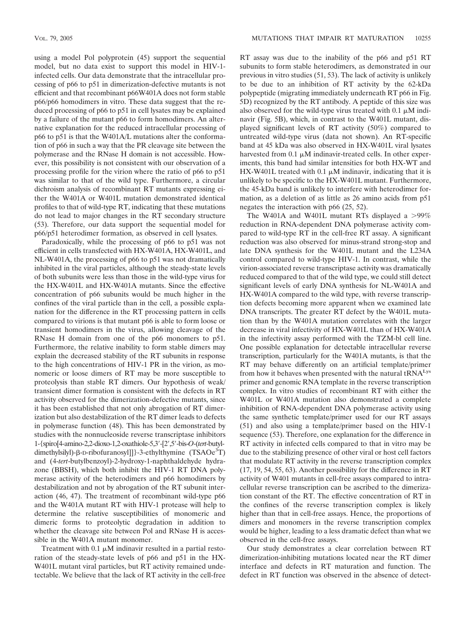using a model Pol polyprotein (45) support the sequential model, but no data exist to support this model in HIV-1 infected cells. Our data demonstrate that the intracellular processing of p66 to p51 in dimerization-defective mutants is not efficient and that recombinant p66W401A does not form stable p66/p66 homodimers in vitro. These data suggest that the reduced processing of p66 to p51 in cell lysates may be explained by a failure of the mutant p66 to form homodimers. An alternative explanation for the reduced intracellular processing of p66 to p51 is that the W401A/L mutations alter the conformation of p66 in such a way that the PR cleavage site between the polymerase and the RNase H domain is not accessible. However, this possibility is not consistent with our observation of a processing profile for the virion where the ratio of p66 to p51 was similar to that of the wild type. Furthermore, a circular dichroism analysis of recombinant RT mutants expressing either the W401A or W401L mutation demonstrated identical profiles to that of wild-type RT, indicating that these mutations do not lead to major changes in the RT secondary structure (53). Therefore, our data support the sequential model for p66/p51 heterodimer formation, as observed in cell lysates.

Paradoxically, while the processing of p66 to p51 was not efficient in cells transfected with HX-W401A, HX-W401L, and NL-W401A, the processing of p66 to p51 was not dramatically inhibited in the viral particles, although the steady-state levels of both subunits were less than those in the wild-type virus for the HX-W401L and HX-W401A mutants. Since the effective concentration of p66 subunits would be much higher in the confines of the viral particle than in the cell, a possible explanation for the difference in the RT processing pattern in cells compared to virions is that mutant p66 is able to form loose or transient homodimers in the virus, allowing cleavage of the RNase H domain from one of the p66 monomers to p51. Furthermore, the relative inability to form stable dimers may explain the decreased stability of the RT subunits in response to the high concentrations of HIV-1 PR in the virion, as monomeric or loose dimers of RT may be more susceptible to proteolysis than stable RT dimers. Our hypothesis of weak/ transient dimer formation is consistent with the defects in RT activity observed for the dimerization-defective mutants, since it has been established that not only abrogation of RT dimerization but also destabilization of the RT dimer leads to defects in polymerase function (48). This has been demonstrated by studies with the nonnucleoside reverse transcriptase inhibitors 1-{spiro[4-amino-2,2-dioxo-1,2-oxathiole-5,3-[2,5-bis-*O*-(*tert*-butyldimethylsilyl)- $\beta$ -D-ribofuranosyl]]}-3-ethylthymine (TSAOe<sup>3</sup>T) and (4-*tert*-butylbenzoyl)-2-hydroxy-1-naphthaldehyde hydrazone (BBSH), which both inhibit the HIV-1 RT DNA polymerase activity of the heterodimers and p66 homodimers by destabilization and not by abrogation of the RT subunit interaction (46, 47). The treatment of recombinant wild-type p66 and the W401A mutant RT with HIV-1 protease will help to determine the relative susceptibilities of monomeric and dimeric forms to proteolytic degradation in addition to whether the cleavage site between Pol and RNase H is accessible in the W401A mutant monomer.

Treatment with  $0.1 \mu M$  indinavir resulted in a partial restoration of the steady-state levels of p66 and p51 in the HX-W401L mutant viral particles, but RT activity remained undetectable. We believe that the lack of RT activity in the cell-free

RT assay was due to the inability of the p66 and p51 RT subunits to form stable heterodimers, as demonstrated in our previous in vitro studies (51, 53). The lack of activity is unlikely to be due to an inhibition of RT activity by the 62-kDa polypeptide (migrating immediately underneath RT p66 in Fig. 5D) recognized by the RT antibody. A peptide of this size was also observed for the wild-type virus treated with  $0.1 \mu M$  indinavir (Fig. 5B), which, in contrast to the W401L mutant, displayed significant levels of RT activity (50%) compared to untreated wild-type virus (data not shown). An RT-specific band at 45 kDa was also observed in HX-W401L viral lysates harvested from  $0.1 \mu M$  indinavir-treated cells. In other experiments, this band had similar intensities for both HX-WT and HX-W401L treated with 0.1  $\mu$ M indinavir, indicating that it is unlikely to be specific to the HX-W401L mutant. Furthermore, the 45-kDa band is unlikely to interfere with heterodimer formation, as a deletion of as little as 26 amino acids from p51 negates the interaction with p66 (25, 52).

The W401A and W401L mutant RTs displayed a  $>99\%$ reduction in RNA-dependent DNA polymerase activity compared to wild-type RT in the cell-free RT assay. A significant reduction was also observed for minus-strand strong-stop and late DNA synthesis for the W401L mutant and the L234A control compared to wild-type HIV-1. In contrast, while the virion-associated reverse transcriptase activity was dramatically reduced compared to that of the wild type, we could still detect significant levels of early DNA synthesis for NL-W401A and HX-W401A compared to the wild type, with reverse transcription defects becoming more apparent when we examined late DNA transcripts. The greater RT defect by the W401L mutation than by the W401A mutation correlates with the larger decrease in viral infectivity of HX-W401L than of HX-W401A in the infectivity assay performed with the TZM-bl cell line. One possible explanation for detectable intracellular reverse transcription, particularly for the W401A mutants, is that the RT may behave differently on an artificial template/primer from how it behaves when presented with the natural tRNALys primer and genomic RNA template in the reverse transcription complex. In vitro studies of recombinant RT with either the W401L or W401A mutation also demonstrated a complete inhibition of RNA-dependent DNA polymerase activity using the same synthetic template/primer used for our RT assays (51) and also using a template/primer based on the HIV-1 sequence (53). Therefore, one explanation for the difference in RT activity in infected cells compared to that in vitro may be due to the stabilizing presence of other viral or host cell factors that modulate RT activity in the reverse transcription complex (17, 19, 54, 55, 63). Another possibility for the difference in RT activity of W401 mutants in cell-free assays compared to intracellular reverse transcription can be ascribed to the dimerization constant of the RT. The effective concentration of RT in the confines of the reverse transcription complex is likely higher than that in cell-free assays. Hence, the proportions of dimers and monomers in the reverse transcription complex would be higher, leading to a less dramatic defect than what we observed in the cell-free assays.

Our study demonstrates a clear correlation between RT dimerization-inhibiting mutations located near the RT dimer interface and defects in RT maturation and function. The defect in RT function was observed in the absence of detect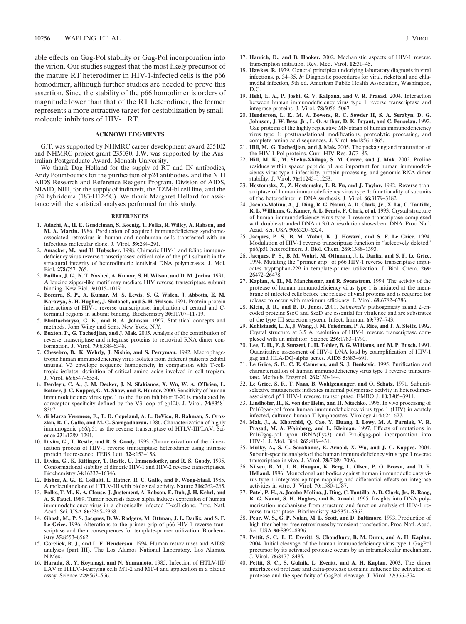able effects on Gag-Pol stability or Gag-Pol incorporation into the virion. Our studies suggest that the most likely precursor of the mature RT heterodimer in HIV-1-infected cells is the p66 homodimer, although further studies are needed to prove this assertion. Since the stability of the p66 homodimer is orders of magnitude lower than that of the RT heterodimer, the former represents a more attractive target for destabilization by smallmolecule inhibitors of HIV-1 RT.

#### **ACKNOWLEDGMENTS**

G.T. was supported by NHMRC career development award 235102 and NHMRC project grant 235030. J.W. was supported by the Australian Postgraduate Award, Monash University.

We thank Dag Helland for the supply of RT and IN antibodies, Andy Poumbourios for the purification of p24 antibodies, and the NIH AIDS Research and Reference Reagent Program, Division of AIDS, NIAID, NIH, for the supply of indinavir, the TZM-bl cell line, and the p24 hybridoma (183-H12-5C). We thank Margaret Hellard for assistance with the statistical analyses performed for this study.

#### **REFERENCES**

- 1. **Adachi, A., H. E. Gendelman, S. Koenig, T. Folks, R. Willey, A. Rabson, and M. A. Martin.** 1986. Production of acquired immunodeficiency syndromeassociated retrovirus in human and nonhuman cells transfected with an infectious molecular clone. J. Virol. **59:**284–291.
- 2. **Amacker, M., and U. Hubscher.** 1998. Chimeric HIV-1 and feline immunodeficiency virus reverse transcriptases: critical role of the p51 subunit in the structural integrity of heterodimeric lentiviral DNA polymerases. J. Mol. Biol. **278:**757–765.
- 3. **Baillon, J. G., N. T. Nashed, A. Kumar, S. H. Wilson, and D. M. Jerina.** 1991. A leucine zipper-like motif may mediate HIV reverse transcriptase subunit binding. New Biol. **3:**1015–1019.
- 4. **Becerra, S. P., A. Kumar, M. S. Lewis, S. G. Widen, J. Abbotts, E. M. Karawya, S. H. Hughes, J. Shiloach, and S. H. Wilson.** 1991. Protein-protein interactions of HIV-1 reverse transcriptase: implication of central and Cterminal regions in subunit binding. Biochemistry **30:**11707–11719.
- 5. **Bhattacharyya, G. K., and R. A. Johnson.** 1997. Statistical concepts and methods. John Wiley and Sons, New York, N.Y.
- 6. **Buxton, P., G. Tachedjian, and J. Mak.** 2005. Analysis of the contribution of reverse transcriptase and integrase proteins to retroviral RNA dimer conformation. J. Virol. **79:**6338–6348.
- 7. **Chesebro, B., K. Wehrly, J. Nishio, and S. Perryman.** 1992. Macrophagetropic human immunodeficiency virus isolates from different patients exhibit unusual V3 envelope sequence homogeneity in comparison with T-celltropic isolates: definition of critical amino acids involved in cell tropism. J. Virol. **66:**6547–6554.
- 8. **Derdeyn, C. A., J. M. Decker, J. N. Sfakianos, X. Wu, W. A. O'Brien, L. Ratner, J. C. Kappes, G. M. Shaw, and E. Hunter.** 2000. Sensitivity of human immunodeficiency virus type 1 to the fusion inhibitor T-20 is modulated by coreceptor specificity defined by the V3 loop of gp120. J. Virol. **74:**8358– 8367.
- 9. **di Marzo Veronese, F., T. D. Copeland, A. L. DeVico, R. Rahman, S. Oroszlan, R. C. Gallo, and M. G. Sarngadharan.** 1986. Characterization of highly immunogenic p66/p51 as the reverse transcriptase of HTLV-III/LAV. Science **231:**1289–1291.
- 10. **Divita, G., T. Restle, and R. S. Goody.** 1993. Characterization of the dimerization process of HIV-1 reverse transcriptase heterodimer using intrinsic protein fluorescence. FEBS Lett. **324:**153–158.
- 11. **Divita, G., K. Rittinger, T. Restle, U. Immendorfer, and R. S. Goody.** 1995. Conformational stability of dimeric HIV-1 and HIV-2 reverse transcriptases. Biochemistry **34:**16337–16346.
- 12. **Fisher, A. G., E. Collalti, L. Ratner, R. C. Gallo, and F. Wong-Staal.** 1985. A molecular clone of HTLV-III with biological activity. Nature **316:**262–265.
- 13. **Folks, T. M., K. A. Clouse, J. Justement, A. Rabson, E. Duh, J. H. Kehrl, and A. S. Fauci.** 1989. Tumor necrosis factor alpha induces expression of human immunodeficiency virus in a chronically infected T-cell clone. Proc. Natl. Acad. Sci. USA **86:**2365–2368.
- 14. **Ghosh, M., P. S. Jacques, D. W. Rodgers, M. Ottman, J. L. Darlix, and S. F. Le Grice.** 1996. Alterations to the primer grip of p66 HIV-1 reverse transcriptase and their consequences for template-primer utilization. Biochemistry **35:**8553–8562.
- 15. **Gorelick, R. J., and L. E. Henderson.** 1994. Human retroviruses and AIDS: analyses (part III). The Los Alamos National Laboratory, Los Alamos, N.Mex.
- 16. **Harada, S., Y. Koyanagi, and N. Yamamoto.** 1985. Infection of HTLV-III/ LAV in HTLV-I-carrying cells MT-2 and MT-4 and application in a plaque assay. Science **229:**563–566.
- 17. **Harrich, D., and B. Hooker.** 2002. Mechanistic aspects of HIV-1 reverse transcription initiation. Rev. Med. Virol. **12:**31–45.
- 18. **Hawkes, R.** 1979. General principles underlying laboratory diagnosis in viral infections, p. 34–35. *In* Diagnostic procedures for viral, rickettsial and chlamydial infection, 5th ed. American Public Health Association, Washington, D.C.
- 19. **Hehl, E. A., P. Joshi, G. V. Kalpana, and V. R. Prasad.** 2004. Interaction between human immunodeficiency virus type 1 reverse transcriptase and integrase proteins. J. Virol. **78:**5056–5067.
- 20. **Henderson, L. E., M. A. Bowers, R. C. Sowder II, S. A. Serabyn, D. G. Johnson, J. W. Bess, Jr., L. O. Arthur, D. K. Bryant, and C. Fenselau.** 1992. Gag proteins of the highly replicative MN strain of human immunodeficiency virus type 1: posttranslational modifications, proteolytic processing, and complete amino acid sequences. J. Virol. **66:**1856–1865.
- 21. **Hill, M., G. Tachedjian, and J. Mak.** 2005. The packaging and maturation of the HIV-1 Pol proteins. Curr. HIV Res. **3:**73–85.
- 22. **Hill, M. K., M. Shehu-Xhilaga, S. M. Crowe, and J. Mak.** 2002. Proline residues within spacer peptide p1 are important for human immunodeficiency virus type 1 infectivity, protein processing, and genomic RNA dimer stability. J. Virol. **76:**11245–11253.
- 23. **Hostomsky, Z., Z. Hostomska, T. B. Fu, and J. Taylor.** 1992. Reverse transcriptase of human immunodeficiency virus type 1: functionality of subunits of the heterodimer in DNA synthesis. J. Virol. **66:**3179–3182.
- 24. **Jacobo-Molina, A., J. Ding, R. G. Nanni, A. D. Clark, Jr., X. Lu, C. Tantillo, R. L. Williams, G. Kamer, A. L. Ferris, P. Clark, et al.** 1993. Crystal structure of human immunodeficiency virus type 1 reverse transcriptase complexed with double-stranded DNA at 3.0 A resolution shows bent DNA. Proc. Natl. Acad. Sci. USA **90:**6320–6324.
- 25. **Jacques, P. S., B. M. Wohrl, K. J. Howard, and S. F. Le Grice.** 1994. Modulation of HIV-1 reverse transcriptase function in "selectively deleted" p66/p51 heterodimers. J. Biol. Chem. **269:**1388–1393.
- 26. **Jacques, P. S., B. M. Wohrl, M. Ottmann, J. L. Darlix, and S. F. Le Grice.** 1994. Mutating the "primer grip" of p66 HIV-1 reverse transcriptase implicates tryptophan-229 in template-primer utilization. J. Biol. Chem. **269:** 26472–26478.
- 27. **Kaplan, A. H., M. Manchester, and R. Swanstrom.** 1994. The activity of the protease of human immunodeficiency virus type 1 is initiated at the membrane of infected cells before the release of viral proteins and is required for release to occur with maximum efficiency. J. Virol. **68:**6782–6786.
- 28. **Klein, J. R., and B. D. Jones.** 2001. *Salmonella* pathogenicity island 2-encoded proteins SseC and SseD are essential for virulence and are substrates of the type III secretion system. Infect. Immun. **69:**737–743.
- 29. **Kohlstaedt, L. A., J. Wang, J. M. Friedman, P. A. Rice, and T. A. Steitz.** 1992. Crystal structure at 3.5 A resolution of HIV-1 reverse transcriptase complexed with an inhibitor. Science **256:**1783–1790.
- 30. **Lee, T. H., F. J. Sunzeri, L. H. Tobler, B. G. Williams, and M. P. Busch.** 1991. Quantitative assessment of HIV-1 DNA load by coamplification of HIV-1 gag and HLA-DQ-alpha genes. AIDS **5:**683–691.
- 31. **Le Grice, S. F., C. E. Cameron, and S. J. Benkovic.** 1995. Purification and characterization of human immunodeficiency virus type 1 reverse transcriptase. Methods Enzymol. **262:**130–144.
- 32. **Le Grice, S. F., T. Naas, B. Wohlgensinger, and O. Schatz.** 1991. Subunitselective mutagenesis indicates minimal polymerase activity in heterodimerassociated p51 HIV-1 reverse transcriptase. EMBO J. **10:**3905–3911.
- 33. **Lindhofer, H., K. von der Helm, and H. Nitschko.** 1995. In vivo processing of Pr160gag-pol from human immunodeficiency virus type 1 (HIV) in acutely infected, cultured human T-lymphocytes. Virology **214:**624–627.
- 34. **Mak, J., A. Khorchid, Q. Cao, Y. Huang, I. Lowy, M. A. Parniak, V. R. Prasad, M. A. Wainberg, and L. Kleiman.** 1997. Effects of mutations in Pr160gag-pol upon tRNA(Lys3) and Pr160gag-pol incorporation into HIV-1. J. Mol. Biol. **265:**419–431.
- 35. **Mulky, A., S. G. Sarafianos, E. Arnold, X. Wu, and J. C. Kappes.** 2004. Subunit-specific analysis of the human immunodeficiency virus type 1 reverse transcriptase in vivo. J. Virol. **78:**7089–7096.
- 36. **Nilsen, B. M., I. R. Haugan, K. Berg, L. Olsen, P. O. Brown, and D. E. Helland.** 1996. Monoclonal antibodies against human immunodeficiency virus type 1 integrase: epitope mapping and differential effects on integrase activities in vitro. J. Virol. **70:**1580–1587.
- 37. **Patel, P. H., A. Jacobo-Molina, J. Ding, C. Tantillo, A. D. Clark, Jr., R. Raag, R. G. Nanni, S. H. Hughes, and E. Arnold.** 1995. Insights into DNA polymerization mechanisms from structure and function analysis of HIV-1 reverse transcriptase. Biochemistry **34:**5351–5363.
- 38. **Pear, W. S., G. P. Nolan, M. L. Scott, and D. Baltimore.** 1993. Production of high-titer helper-free retroviruses by transient transfection. Proc. Natl. Acad. Sci. USA **90:**8392–8396.
- 39. **Pettit, S. C., L. E. Everitt, S. Choudhury, B. M. Dunn, and A. H. Kaplan.** 2004. Initial cleavage of the human immunodeficiency virus type 1 GagPol precursor by its activated protease occurs by an intramolecular mechanism. J. Virol. **78:**8477–8485.
- 40. **Pettit, S. C., S. Gulnik, L. Everitt, and A. H. Kaplan.** 2003. The dimer interfaces of protease and extra-protease domains influence the activation of protease and the specificity of GagPol cleavage. J. Virol. **77:**366–374.